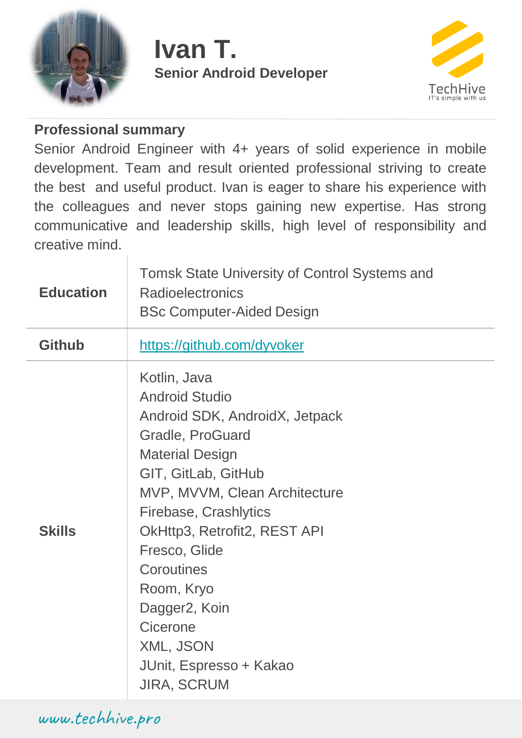

## **Ivan T. Senior Android Developer**



## **Professional summary**

Senior Android Engineer with 4+ years of solid experience in mobile development. Team and result oriented professional striving to create the best and useful product. Ivan is eager to share his experience with the colleagues and never stops gaining new expertise. Has strong communicative and leadership skills, high level of responsibility and creative mind.

| <b>Education</b> | <b>Tomsk State University of Control Systems and</b><br><b>Radioelectronics</b><br><b>BSc Computer-Aided Design</b>                                                                                                                                                                                                                                                                         |
|------------------|---------------------------------------------------------------------------------------------------------------------------------------------------------------------------------------------------------------------------------------------------------------------------------------------------------------------------------------------------------------------------------------------|
| <b>Github</b>    | https://github.com/dyvoker                                                                                                                                                                                                                                                                                                                                                                  |
| <b>Skills</b>    | Kotlin, Java<br><b>Android Studio</b><br>Android SDK, AndroidX, Jetpack<br>Gradle, ProGuard<br><b>Material Design</b><br>GIT, GitLab, GitHub<br>MVP, MVVM, Clean Architecture<br>Firebase, Crashlytics<br>OkHttp3, Retrofit2, REST API<br>Fresco, Glide<br>Coroutines<br>Room, Kryo<br>Dagger <sub>2</sub> , Koin<br>Cicerone<br>XML, JSON<br>JUnit, Espresso + Kakao<br><b>JIRA, SCRUM</b> |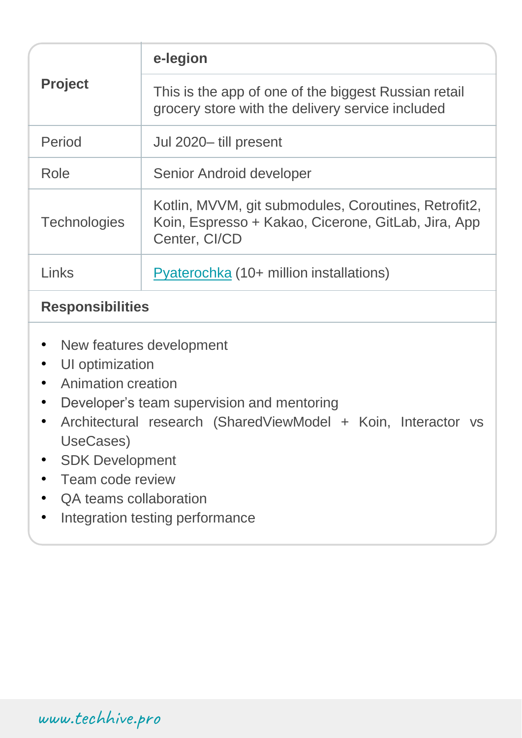| <b>Project</b>                                                                                                                                                                                                                                                                                                               | e-legion                                                                                                                     |  |
|------------------------------------------------------------------------------------------------------------------------------------------------------------------------------------------------------------------------------------------------------------------------------------------------------------------------------|------------------------------------------------------------------------------------------------------------------------------|--|
|                                                                                                                                                                                                                                                                                                                              | This is the app of one of the biggest Russian retail<br>grocery store with the delivery service included                     |  |
| Period                                                                                                                                                                                                                                                                                                                       | Jul 2020-till present                                                                                                        |  |
| Role                                                                                                                                                                                                                                                                                                                         | Senior Android developer                                                                                                     |  |
| <b>Technologies</b>                                                                                                                                                                                                                                                                                                          | Kotlin, MVVM, git submodules, Coroutines, Retrofit2,<br>Koin, Espresso + Kakao, Cicerone, GitLab, Jira, App<br>Center, CI/CD |  |
| Links                                                                                                                                                                                                                                                                                                                        | Pyaterochka (10+ million installations)                                                                                      |  |
| <b>Responsibilities</b>                                                                                                                                                                                                                                                                                                      |                                                                                                                              |  |
| New features development<br>UI optimization<br><b>Animation creation</b><br>Developer's team supervision and mentoring<br>$\bullet$<br>Architectural research (SharedViewModel + Koin, Interactor vs<br>UseCases)<br><b>SDK Development</b><br>Team code review<br>QA teams collaboration<br>Integration testing performance |                                                                                                                              |  |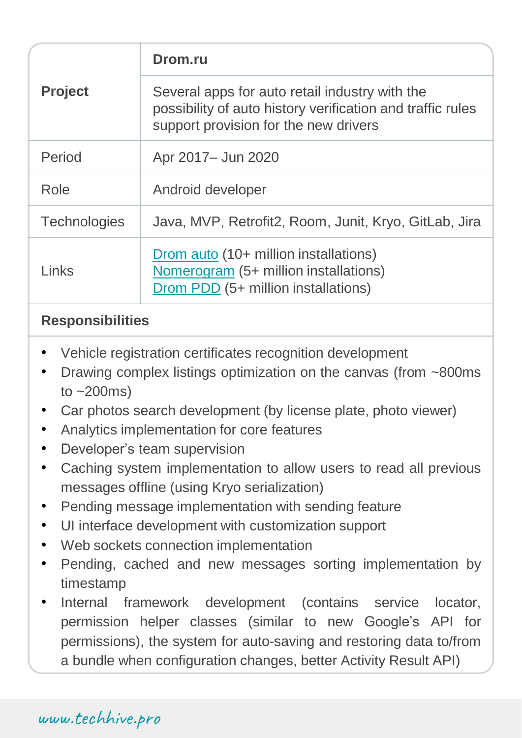| <b>Project</b>      | Drom.ru                                                                                                                                               |
|---------------------|-------------------------------------------------------------------------------------------------------------------------------------------------------|
|                     | Several apps for auto retail industry with the<br>possibility of auto history verification and traffic rules<br>support provision for the new drivers |
| Period              | Apr 2017 - Jun 2020                                                                                                                                   |
| Role                | Android developer                                                                                                                                     |
| <b>Technologies</b> | Java, MVP, Retrofit2, Room, Junit, Kryo, GitLab, Jira                                                                                                 |
| Links               | Drom auto (10+ million installations)<br>Nomerogram (5+ million installations)<br>Drom PDD (5+ million installations)                                 |

## **Responsibilities**

- Vehicle registration certificates recognition development
- Drawing complex listings optimization on the canvas (from ~800ms) to  $~200$ ms)
- Car photos search development (by license plate, photo viewer)
- Analytics implementation for core features
- Developer's team supervision
- Caching system implementation to allow users to read all previous messages offline (using Kryo serialization)
- Pending message implementation with sending feature
- UI interface development with customization support
- Web sockets connection implementation
- Pending, cached and new messages sorting implementation by timestamp
- Internal framework development (contains service locator, permission helper classes (similar to new Google's API for permissions), the system for auto-saving and restoring data to/from a bundle when configuration changes, better Activity Result API)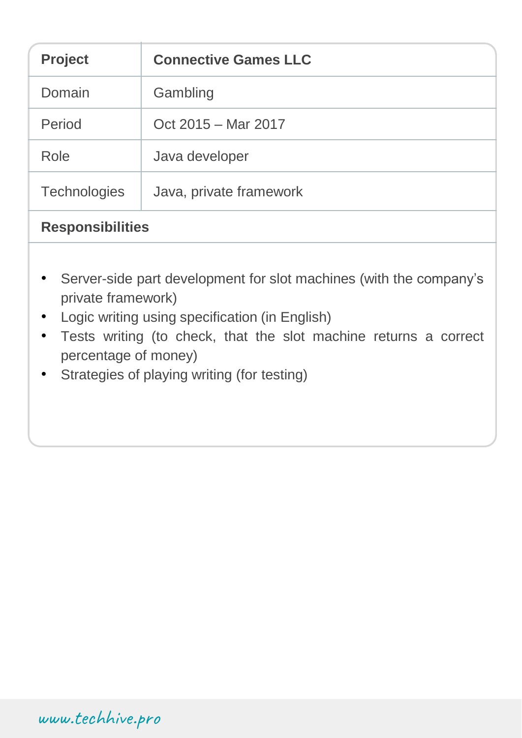| <b>Project</b>          | <b>Connective Games LLC</b> |  |
|-------------------------|-----------------------------|--|
| Domain                  | Gambling                    |  |
| Period                  | Oct 2015 – Mar 2017         |  |
| Role                    | Java developer              |  |
| <b>Technologies</b>     | Java, private framework     |  |
| <b>Responsibilities</b> |                             |  |

- Server-side part development for slot machines (with the company's private framework)
- Logic writing using specification (in English)
- Tests writing (to check, that the slot machine returns a correct percentage of money)
- Strategies of playing writing (for testing)